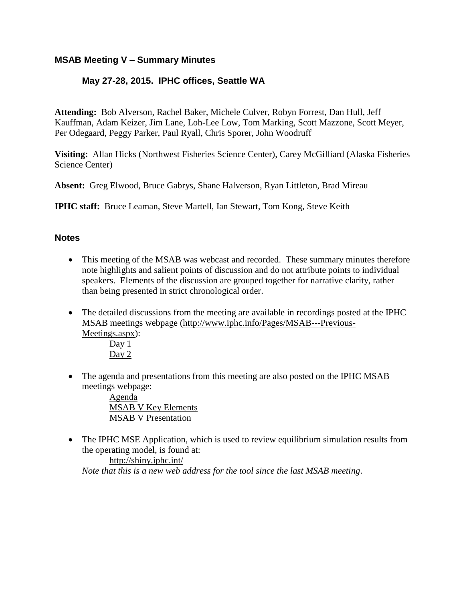## **MSAB Meeting V – Summary Minutes**

# **May 27-28, 2015. IPHC offices, Seattle WA**

**Attending:** Bob Alverson, Rachel Baker, Michele Culver, Robyn Forrest, Dan Hull, Jeff Kauffman, Adam Keizer, Jim Lane, Loh-Lee Low, Tom Marking, Scott Mazzone, Scott Meyer, Per Odegaard, Peggy Parker, Paul Ryall, Chris Sporer, John Woodruff

**Visiting:** Allan Hicks (Northwest Fisheries Science Center), Carey McGilliard (Alaska Fisheries Science Center)

**Absent:** Greg Elwood, Bruce Gabrys, Shane Halverson, Ryan Littleton, Brad Mireau

**IPHC staff:** Bruce Leaman, Steve Martell, Ian Stewart, Tom Kong, Steve Keith

## **Notes**

- This meeting of the MSAB was webcast and recorded. These summary minutes therefore note highlights and salient points of discussion and do not attribute points to individual speakers. Elements of the discussion are grouped together for narrative clarity, rather than being presented in strict chronological order.
- The detailed discussions from the meeting are available in recordings posted at the IPHC MSAB meetings webpage [\(http://www.iphc.info/Pages/MSAB---Previous-](http://www.iphc.info/Pages/MSAB---Previous-Meetings.aspx)[Meetings.aspx\)](http://www.iphc.info/Pages/MSAB---Previous-Meetings.aspx):

[Day](https://www.youtube.com/watch?v=NFjpIsdbndE&feature=youtu.be) 1 [Day](https://www.youtube.com/watch?v=gugA2UtJi4Q&feature=youtu.be)  $2$ 

 The agenda and presentations from this meeting are also posted on the IPHC MSAB meetings webpage:

> [Agenda](http://www.iphc.info/MSAB%20Documents/MSAB_Meeting_5_FINAL.pdf)  MSAB V Key [Elements](http://www.iphc.info/MSAB%20Documents/Outline%20Key%20Elements%20v2.pdf)  MSAB V [Presentation](http://www.iphc.info/MSAB%20Documents/MTG5%20presentation.pdf)

• The IPHC MSE Application, which is used to review equilibrium simulation results from the operating model, is found at:

<http://shiny.iphc.int/> *Note that this is a new web address for the tool since the last MSAB meeting*.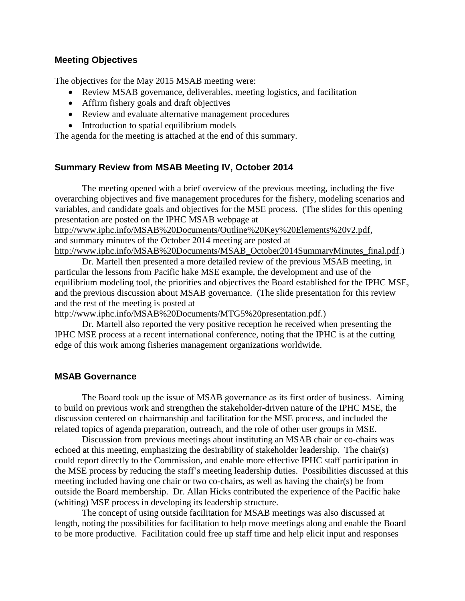### **Meeting Objectives**

The objectives for the May 2015 MSAB meeting were:

- Review MSAB governance, deliverables, meeting logistics, and facilitation
- Affirm fishery goals and draft objectives
- Review and evaluate alternative management procedures
- Introduction to spatial equilibrium models

The agenda for the meeting is attached at the end of this summary.

## **Summary Review from MSAB Meeting IV, October 2014**

The meeting opened with a brief overview of the previous meeting, including the five overarching objectives and five management procedures for the fishery, modeling scenarios and variables, and candidate goals and objectives for the MSE process. (The slides for this opening presentation are posted on the IPHC MSAB webpage at

[http://www.iphc.info/MSAB%20Documents/Outline%20Key%20Elements%20v2.pdf,](http://www.iphc.info/MSAB%20Documents/Outline%20Key%20Elements%20v2.pdf) and summary minutes of the October 2014 meeting are posted at [http://www.iphc.info/MSAB%20Documents/MSAB\\_October2014SummaryMinutes\\_final.pdf.](http://www.iphc.info/MSAB%20Documents/MSAB_October2014SummaryMinutes_final.pdf))

Dr. Martell then presented a more detailed review of the previous MSAB meeting, in particular the lessons from Pacific hake MSE example, the development and use of the equilibrium modeling tool, the priorities and objectives the Board established for the IPHC MSE, and the previous discussion about MSAB governance. (The slide presentation for this review and the rest of the meeting is posted at

[http://www.iphc.info/MSAB%20Documents/MTG5%20presentation.pdf.](http://www.iphc.info/MSAB%20Documents/MTG5%20presentation.pdf))

Dr. Martell also reported the very positive reception he received when presenting the IPHC MSE process at a recent international conference, noting that the IPHC is at the cutting edge of this work among fisheries management organizations worldwide.

### **MSAB Governance**

The Board took up the issue of MSAB governance as its first order of business. Aiming to build on previous work and strengthen the stakeholder-driven nature of the IPHC MSE, the discussion centered on chairmanship and facilitation for the MSE process, and included the related topics of agenda preparation, outreach, and the role of other user groups in MSE.

Discussion from previous meetings about instituting an MSAB chair or co-chairs was echoed at this meeting, emphasizing the desirability of stakeholder leadership. The chair(s) could report directly to the Commission, and enable more effective IPHC staff participation in the MSE process by reducing the staff's meeting leadership duties. Possibilities discussed at this meeting included having one chair or two co-chairs, as well as having the chair(s) be from outside the Board membership. Dr. Allan Hicks contributed the experience of the Pacific hake (whiting) MSE process in developing its leadership structure.

The concept of using outside facilitation for MSAB meetings was also discussed at length, noting the possibilities for facilitation to help move meetings along and enable the Board to be more productive. Facilitation could free up staff time and help elicit input and responses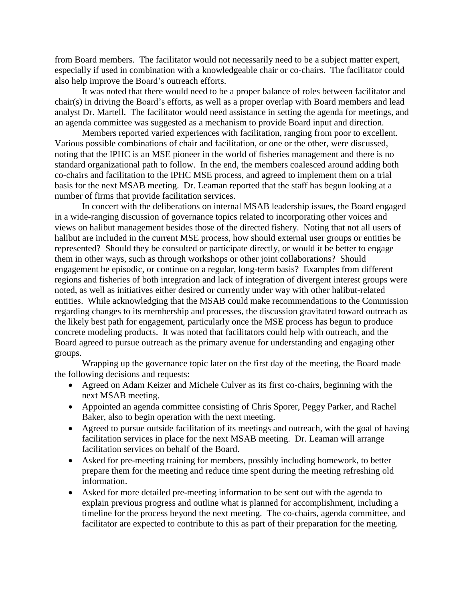from Board members. The facilitator would not necessarily need to be a subject matter expert, especially if used in combination with a knowledgeable chair or co-chairs. The facilitator could also help improve the Board's outreach efforts.

It was noted that there would need to be a proper balance of roles between facilitator and chair(s) in driving the Board's efforts, as well as a proper overlap with Board members and lead analyst Dr. Martell. The facilitator would need assistance in setting the agenda for meetings, and an agenda committee was suggested as a mechanism to provide Board input and direction.

Members reported varied experiences with facilitation, ranging from poor to excellent. Various possible combinations of chair and facilitation, or one or the other, were discussed, noting that the IPHC is an MSE pioneer in the world of fisheries management and there is no standard organizational path to follow. In the end, the members coalesced around adding both co-chairs and facilitation to the IPHC MSE process, and agreed to implement them on a trial basis for the next MSAB meeting. Dr. Leaman reported that the staff has begun looking at a number of firms that provide facilitation services.

In concert with the deliberations on internal MSAB leadership issues, the Board engaged in a wide-ranging discussion of governance topics related to incorporating other voices and views on halibut management besides those of the directed fishery. Noting that not all users of halibut are included in the current MSE process, how should external user groups or entities be represented? Should they be consulted or participate directly, or would it be better to engage them in other ways, such as through workshops or other joint collaborations? Should engagement be episodic, or continue on a regular, long-term basis? Examples from different regions and fisheries of both integration and lack of integration of divergent interest groups were noted, as well as initiatives either desired or currently under way with other halibut-related entities. While acknowledging that the MSAB could make recommendations to the Commission regarding changes to its membership and processes, the discussion gravitated toward outreach as the likely best path for engagement, particularly once the MSE process has begun to produce concrete modeling products. It was noted that facilitators could help with outreach, and the Board agreed to pursue outreach as the primary avenue for understanding and engaging other groups.

Wrapping up the governance topic later on the first day of the meeting, the Board made the following decisions and requests:

- Agreed on Adam Keizer and Michele Culver as its first co-chairs, beginning with the next MSAB meeting.
- Appointed an agenda committee consisting of Chris Sporer, Peggy Parker, and Rachel Baker, also to begin operation with the next meeting.
- Agreed to pursue outside facilitation of its meetings and outreach, with the goal of having facilitation services in place for the next MSAB meeting. Dr. Leaman will arrange facilitation services on behalf of the Board.
- Asked for pre-meeting training for members, possibly including homework, to better prepare them for the meeting and reduce time spent during the meeting refreshing old information.
- Asked for more detailed pre-meeting information to be sent out with the agenda to explain previous progress and outline what is planned for accomplishment, including a timeline for the process beyond the next meeting. The co-chairs, agenda committee, and facilitator are expected to contribute to this as part of their preparation for the meeting.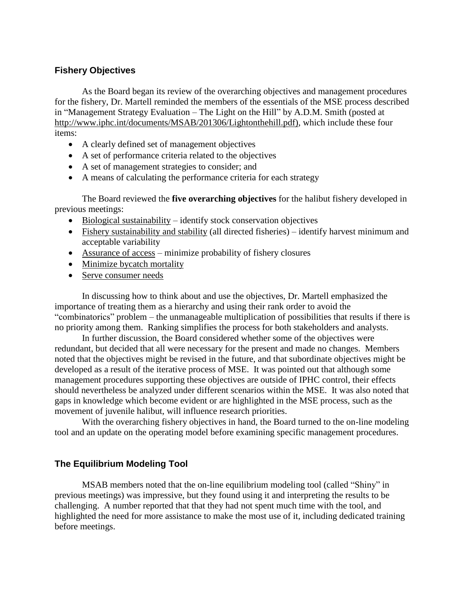## **Fishery Objectives**

As the Board began its review of the overarching objectives and management procedures for the fishery, Dr. Martell reminded the members of the essentials of the MSE process described in "Management Strategy Evaluation – The Light on the Hill" by A.D.M. Smith (posted at [http://www.iphc.int/documents/MSAB/201306/Lightonthehill.pdf\),](http://www.iphc.int/documents/MSAB/201306/Lightonthehill.pdf)) which include these four items:

- A clearly defined set of management objectives
- A set of performance criteria related to the objectives
- A set of management strategies to consider; and
- A means of calculating the performance criteria for each strategy

The Board reviewed the **five overarching objectives** for the halibut fishery developed in previous meetings:

- $\bullet$  Biological sustainability identify stock conservation objectives
- Fishery sustainability and stability (all directed fisheries) identify harvest minimum and acceptable variability
- Assurance of access minimize probability of fishery closures
- Minimize bycatch mortality
- Serve consumer needs

In discussing how to think about and use the objectives, Dr. Martell emphasized the importance of treating them as a hierarchy and using their rank order to avoid the "combinatorics" problem – the unmanageable multiplication of possibilities that results if there is no priority among them. Ranking simplifies the process for both stakeholders and analysts.

In further discussion, the Board considered whether some of the objectives were redundant, but decided that all were necessary for the present and made no changes. Members noted that the objectives might be revised in the future, and that subordinate objectives might be developed as a result of the iterative process of MSE. It was pointed out that although some management procedures supporting these objectives are outside of IPHC control, their effects should nevertheless be analyzed under different scenarios within the MSE. It was also noted that gaps in knowledge which become evident or are highlighted in the MSE process, such as the movement of juvenile halibut, will influence research priorities.

With the overarching fishery objectives in hand, the Board turned to the on-line modeling tool and an update on the operating model before examining specific management procedures.

## **The Equilibrium Modeling Tool**

MSAB members noted that the on-line equilibrium modeling tool (called "Shiny" in previous meetings) was impressive, but they found using it and interpreting the results to be challenging. A number reported that that they had not spent much time with the tool, and highlighted the need for more assistance to make the most use of it, including dedicated training before meetings.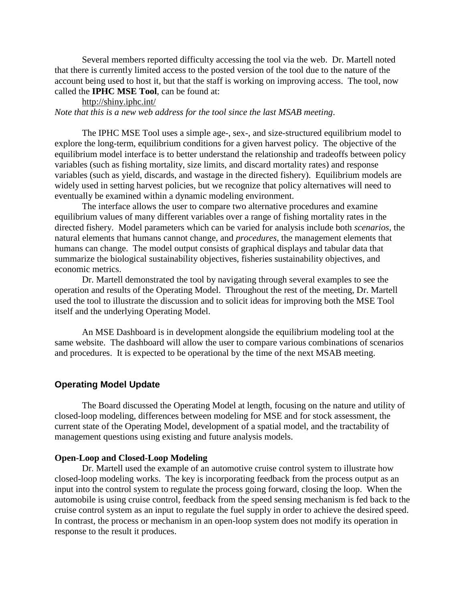Several members reported difficulty accessing the tool via the web. Dr. Martell noted that there is currently limited access to the posted version of the tool due to the nature of the account being used to host it, but that the staff is working on improving access. The tool, now called the **IPHC MSE Tool**, can be found at:

<http://shiny.iphc.int/> *Note that this is a new web address for the tool since the last MSAB meeting*.

The IPHC MSE Tool uses a simple age-, sex-, and size-structured equilibrium model to explore the long-term, equilibrium conditions for a given harvest policy. The objective of the equilibrium model interface is to better understand the relationship and tradeoffs between policy variables (such as fishing mortality, size limits, and discard mortality rates) and response variables (such as yield, discards, and wastage in the directed fishery). Equilibrium models are widely used in setting harvest policies, but we recognize that policy alternatives will need to eventually be examined within a dynamic modeling environment.

The interface allows the user to compare two alternative procedures and examine equilibrium values of many different variables over a range of fishing mortality rates in the directed fishery. Model parameters which can be varied for analysis include both *scenarios*, the natural elements that humans cannot change, and *procedures*, the management elements that humans can change. The model output consists of graphical displays and tabular data that summarize the biological sustainability objectives, fisheries sustainability objectives, and economic metrics.

Dr. Martell demonstrated the tool by navigating through several examples to see the operation and results of the Operating Model. Throughout the rest of the meeting, Dr. Martell used the tool to illustrate the discussion and to solicit ideas for improving both the MSE Tool itself and the underlying Operating Model.

An MSE Dashboard is in development alongside the equilibrium modeling tool at the same website. The dashboard will allow the user to compare various combinations of scenarios and procedures. It is expected to be operational by the time of the next MSAB meeting.

### **Operating Model Update**

The Board discussed the Operating Model at length, focusing on the nature and utility of closed-loop modeling, differences between modeling for MSE and for stock assessment, the current state of the Operating Model, development of a spatial model, and the tractability of management questions using existing and future analysis models.

#### **Open-Loop and Closed-Loop Modeling**

Dr. Martell used the example of an automotive cruise control system to illustrate how closed-loop modeling works. The key is incorporating feedback from the process output as an input into the control system to regulate the process going forward, closing the loop. When the automobile is using cruise control, feedback from the speed sensing mechanism is fed back to the cruise control system as an input to regulate the fuel supply in order to achieve the desired speed. In contrast, the process or mechanism in an open-loop system does not modify its operation in response to the result it produces.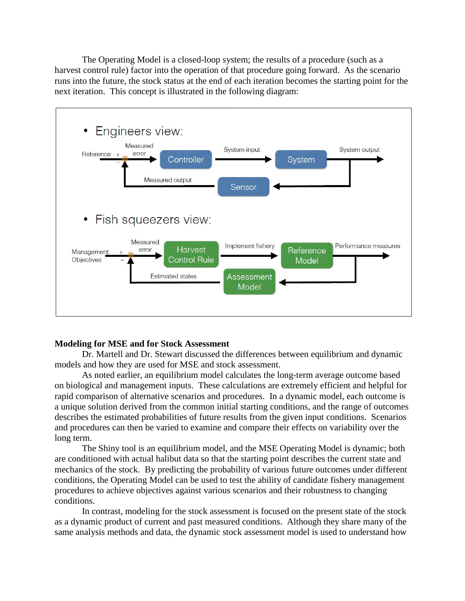The Operating Model is a closed-loop system; the results of a procedure (such as a harvest control rule) factor into the operation of that procedure going forward. As the scenario runs into the future, the stock status at the end of each iteration becomes the starting point for the next iteration. This concept is illustrated in the following diagram:



#### **Modeling for MSE and for Stock Assessment**

Dr. Martell and Dr. Stewart discussed the differences between equilibrium and dynamic models and how they are used for MSE and stock assessment.

As noted earlier, an equilibrium model calculates the long-term average outcome based on biological and management inputs. These calculations are extremely efficient and helpful for rapid comparison of alternative scenarios and procedures. In a dynamic model, each outcome is a unique solution derived from the common initial starting conditions, and the range of outcomes describes the estimated probabilities of future results from the given input conditions. Scenarios and procedures can then be varied to examine and compare their effects on variability over the long term.

The Shiny tool is an equilibrium model, and the MSE Operating Model is dynamic; both are conditioned with actual halibut data so that the starting point describes the current state and mechanics of the stock. By predicting the probability of various future outcomes under different conditions, the Operating Model can be used to test the ability of candidate fishery management procedures to achieve objectives against various scenarios and their robustness to changing conditions.

In contrast, modeling for the stock assessment is focused on the present state of the stock as a dynamic product of current and past measured conditions. Although they share many of the same analysis methods and data, the dynamic stock assessment model is used to understand how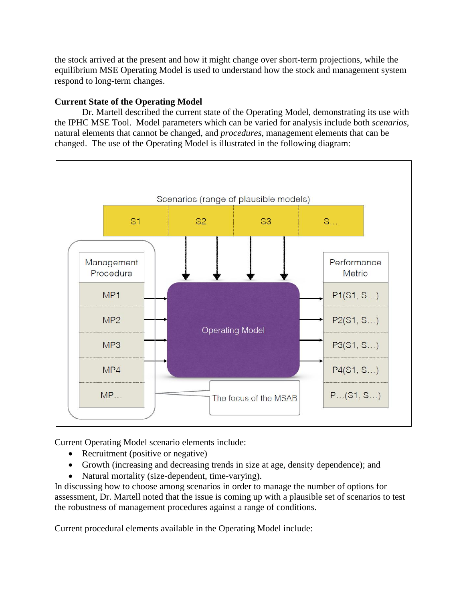the stock arrived at the present and how it might change over short-term projections, while the equilibrium MSE Operating Model is used to understand how the stock and management system respond to long-term changes.

## **Current State of the Operating Model**

Dr. Martell described the current state of the Operating Model, demonstrating its use with the IPHC MSE Tool. Model parameters which can be varied for analysis include both *scenarios*, natural elements that cannot be changed, and *procedures*, management elements that can be changed. The use of the Operating Model is illustrated in the following diagram:



Current Operating Model scenario elements include:

- Recruitment (positive or negative)
- Growth (increasing and decreasing trends in size at age, density dependence); and
- Natural mortality (size-dependent, time-varying).

In discussing how to choose among scenarios in order to manage the number of options for assessment, Dr. Martell noted that the issue is coming up with a plausible set of scenarios to test the robustness of management procedures against a range of conditions.

Current procedural elements available in the Operating Model include: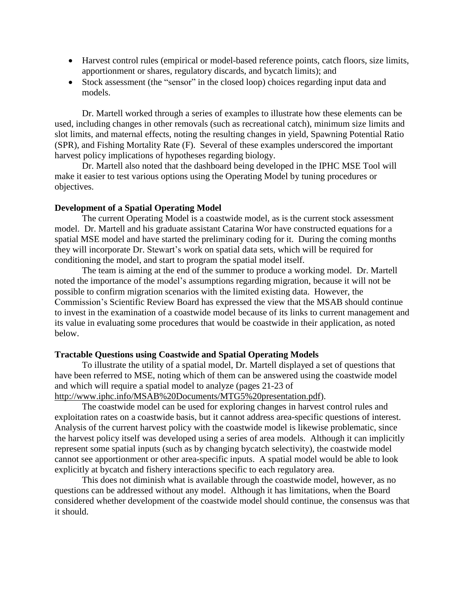- Harvest control rules (empirical or model-based reference points, catch floors, size limits, apportionment or shares, regulatory discards, and bycatch limits); and
- Stock assessment (the "sensor" in the closed loop) choices regarding input data and models.

Dr. Martell worked through a series of examples to illustrate how these elements can be used, including changes in other removals (such as recreational catch), minimum size limits and slot limits, and maternal effects, noting the resulting changes in yield, Spawning Potential Ratio (SPR), and Fishing Mortality Rate (F). Several of these examples underscored the important harvest policy implications of hypotheses regarding biology.

Dr. Martell also noted that the dashboard being developed in the IPHC MSE Tool will make it easier to test various options using the Operating Model by tuning procedures or objectives.

#### **Development of a Spatial Operating Model**

The current Operating Model is a coastwide model, as is the current stock assessment model. Dr. Martell and his graduate assistant Catarina Wor have constructed equations for a spatial MSE model and have started the preliminary coding for it. During the coming months they will incorporate Dr. Stewart's work on spatial data sets, which will be required for conditioning the model, and start to program the spatial model itself.

The team is aiming at the end of the summer to produce a working model. Dr. Martell noted the importance of the model's assumptions regarding migration, because it will not be possible to confirm migration scenarios with the limited existing data. However, the Commission's Scientific Review Board has expressed the view that the MSAB should continue to invest in the examination of a coastwide model because of its links to current management and its value in evaluating some procedures that would be coastwide in their application, as noted below.

#### **Tractable Questions using Coastwide and Spatial Operating Models**

To illustrate the utility of a spatial model, Dr. Martell displayed a set of questions that have been referred to MSE, noting which of them can be answered using the coastwide model and which will require a spatial model to analyze (pages 21-23 of

[http://www.iphc.info/MSAB%20Documents/MTG5%20presentation.pdf\)](http://www.iphc.info/MSAB%20Documents/MTG5%20presentation.pdf).

The coastwide model can be used for exploring changes in harvest control rules and exploitation rates on a coastwide basis, but it cannot address area-specific questions of interest. Analysis of the current harvest policy with the coastwide model is likewise problematic, since the harvest policy itself was developed using a series of area models. Although it can implicitly represent some spatial inputs (such as by changing bycatch selectivity), the coastwide model cannot see apportionment or other area-specific inputs. A spatial model would be able to look explicitly at bycatch and fishery interactions specific to each regulatory area.

This does not diminish what is available through the coastwide model, however, as no questions can be addressed without any model. Although it has limitations, when the Board considered whether development of the coastwide model should continue, the consensus was that it should.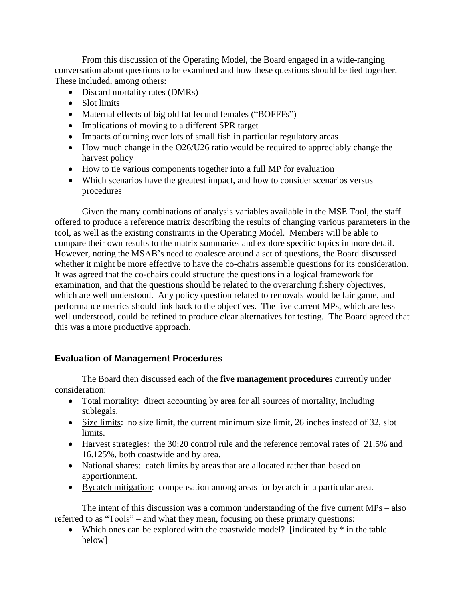From this discussion of the Operating Model, the Board engaged in a wide-ranging conversation about questions to be examined and how these questions should be tied together. These included, among others:

- Discard mortality rates (DMRs)
- Slot limits
- Maternal effects of big old fat fecund females ("BOFFFs")
- Implications of moving to a different SPR target
- Impacts of turning over lots of small fish in particular regulatory areas
- How much change in the O26/U26 ratio would be required to appreciably change the harvest policy
- How to tie various components together into a full MP for evaluation
- Which scenarios have the greatest impact, and how to consider scenarios versus procedures

Given the many combinations of analysis variables available in the MSE Tool, the staff offered to produce a reference matrix describing the results of changing various parameters in the tool, as well as the existing constraints in the Operating Model. Members will be able to compare their own results to the matrix summaries and explore specific topics in more detail. However, noting the MSAB's need to coalesce around a set of questions, the Board discussed whether it might be more effective to have the co-chairs assemble questions for its consideration. It was agreed that the co-chairs could structure the questions in a logical framework for examination, and that the questions should be related to the overarching fishery objectives, which are well understood. Any policy question related to removals would be fair game, and performance metrics should link back to the objectives. The five current MPs, which are less well understood, could be refined to produce clear alternatives for testing. The Board agreed that this was a more productive approach.

# **Evaluation of Management Procedures**

The Board then discussed each of the **five management procedures** currently under consideration:

- Total mortality: direct accounting by area for all sources of mortality, including sublegals.
- Size limits: no size limit, the current minimum size limit, 26 inches instead of 32, slot limits.
- Harvest strategies: the 30:20 control rule and the reference removal rates of 21.5% and 16.125%, both coastwide and by area.
- National shares: catch limits by areas that are allocated rather than based on apportionment.
- Bycatch mitigation: compensation among areas for bycatch in a particular area.

The intent of this discussion was a common understanding of the five current MPs – also referred to as "Tools" – and what they mean, focusing on these primary questions:

• Which ones can be explored with the coastwide model? [indicated by  $*$  in the table below]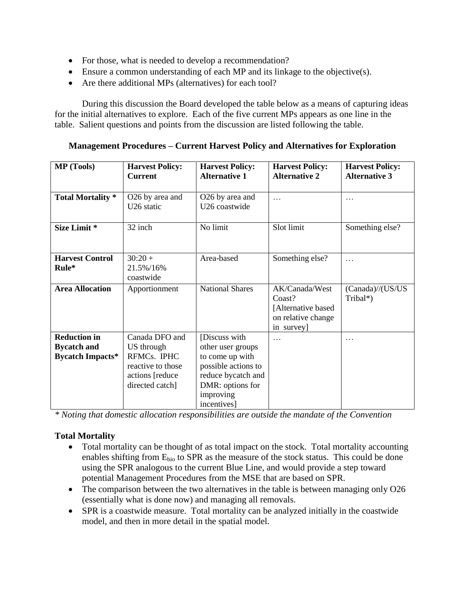- For those, what is needed to develop a recommendation?
- Ensure a common understanding of each MP and its linkage to the objective(s).
- Are there additional MPs (alternatives) for each tool?

During this discussion the Board developed the table below as a means of capturing ideas for the initial alternatives to explore. Each of the five current MPs appears as one line in the table. Salient questions and points from the discussion are listed following the table.

**Management Procedures – Current Harvest Policy and Alternatives for Exploration**

| <b>MP</b> (Tools)                                                    | <b>Harvest Policy:</b><br><b>Current</b>                                                                | <b>Harvest Policy:</b><br><b>Alternative 1</b>                                                                                                     | <b>Harvest Policy:</b><br><b>Alternative 2</b>                                      | <b>Harvest Policy:</b><br><b>Alternative 3</b> |
|----------------------------------------------------------------------|---------------------------------------------------------------------------------------------------------|----------------------------------------------------------------------------------------------------------------------------------------------------|-------------------------------------------------------------------------------------|------------------------------------------------|
| <b>Total Mortality</b> *                                             | O26 by area and<br>U26 static                                                                           | O26 by area and<br>U26 coastwide                                                                                                                   | .                                                                                   |                                                |
| Size Limit *                                                         | 32 inch                                                                                                 | No limit                                                                                                                                           | Slot limit                                                                          | Something else?                                |
| <b>Harvest Control</b><br>Rule*                                      | $30:20 +$<br>21.5%/16%<br>coastwide                                                                     | Area-based                                                                                                                                         | Something else?                                                                     | .                                              |
| <b>Area Allocation</b>                                               | Apportionment                                                                                           | <b>National Shares</b>                                                                                                                             | AK/Canada/West<br>Coast?<br>[Alternative based]<br>on relative change<br>in survey] | (Canada)//(US/US<br>Tribal*)                   |
| <b>Reduction in</b><br><b>Bycatch and</b><br><b>Bycatch Impacts*</b> | Canada DFO and<br>US through<br>RFMCs. IPHC<br>reactive to those<br>actions [reduce]<br>directed catch] | [Discuss with<br>other user groups<br>to come up with<br>possible actions to<br>reduce bycatch and<br>DMR: options for<br>improving<br>incentives] | $\cdots$                                                                            | $\cdot$                                        |

*\* Noting that domestic allocation responsibilities are outside the mandate of the Convention*

## **Total Mortality**

- Total mortality can be thought of as total impact on the stock. Total mortality accounting enables shifting from  $E<sub>bio</sub>$  to SPR as the measure of the stock status. This could be done using the SPR analogous to the current Blue Line, and would provide a step toward potential Management Procedures from the MSE that are based on SPR.
- The comparison between the two alternatives in the table is between managing only O26 (essentially what is done now) and managing all removals.
- SPR is a coastwide measure. Total mortality can be analyzed initially in the coastwide model, and then in more detail in the spatial model.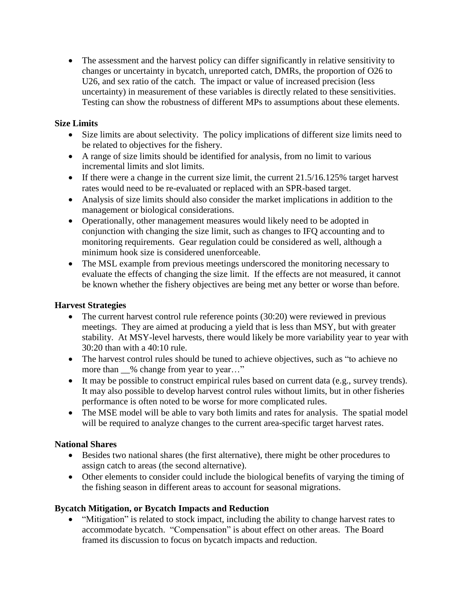The assessment and the harvest policy can differ significantly in relative sensitivity to changes or uncertainty in bycatch, unreported catch, DMRs, the proportion of O26 to U26, and sex ratio of the catch. The impact or value of increased precision (less uncertainty) in measurement of these variables is directly related to these sensitivities. Testing can show the robustness of different MPs to assumptions about these elements.

## **Size Limits**

- Size limits are about selectivity. The policy implications of different size limits need to be related to objectives for the fishery.
- A range of size limits should be identified for analysis, from no limit to various incremental limits and slot limits.
- If there were a change in the current size limit, the current  $21.5/16.125\%$  target harvest rates would need to be re-evaluated or replaced with an SPR-based target.
- Analysis of size limits should also consider the market implications in addition to the management or biological considerations.
- Operationally, other management measures would likely need to be adopted in conjunction with changing the size limit, such as changes to IFQ accounting and to monitoring requirements. Gear regulation could be considered as well, although a minimum hook size is considered unenforceable.
- The MSL example from previous meetings underscored the monitoring necessary to evaluate the effects of changing the size limit. If the effects are not measured, it cannot be known whether the fishery objectives are being met any better or worse than before.

## **Harvest Strategies**

- The current harvest control rule reference points (30:20) were reviewed in previous meetings. They are aimed at producing a yield that is less than MSY, but with greater stability. At MSY-level harvests, there would likely be more variability year to year with 30:20 than with a 40:10 rule.
- The harvest control rules should be tuned to achieve objectives, such as "to achieve no more than  $\_\%$  change from year to year..."
- It may be possible to construct empirical rules based on current data (e.g., survey trends). It may also possible to develop harvest control rules without limits, but in other fisheries performance is often noted to be worse for more complicated rules.
- The MSE model will be able to vary both limits and rates for analysis. The spatial model will be required to analyze changes to the current area-specific target harvest rates.

# **National Shares**

- Besides two national shares (the first alternative), there might be other procedures to assign catch to areas (the second alternative).
- Other elements to consider could include the biological benefits of varying the timing of the fishing season in different areas to account for seasonal migrations.

# **Bycatch Mitigation, or Bycatch Impacts and Reduction**

 "Mitigation" is related to stock impact, including the ability to change harvest rates to accommodate bycatch. "Compensation" is about effect on other areas. The Board framed its discussion to focus on bycatch impacts and reduction.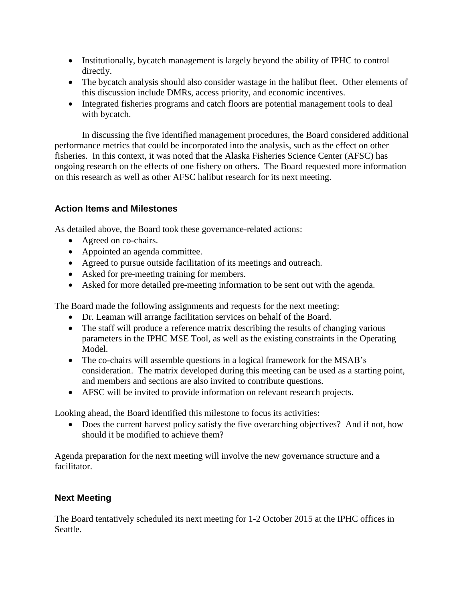- Institutionally, bycatch management is largely beyond the ability of IPHC to control directly.
- The bycatch analysis should also consider wastage in the halibut fleet. Other elements of this discussion include DMRs, access priority, and economic incentives.
- Integrated fisheries programs and catch floors are potential management tools to deal with bycatch.

In discussing the five identified management procedures, the Board considered additional performance metrics that could be incorporated into the analysis, such as the effect on other fisheries. In this context, it was noted that the Alaska Fisheries Science Center (AFSC) has ongoing research on the effects of one fishery on others. The Board requested more information on this research as well as other AFSC halibut research for its next meeting.

# **Action Items and Milestones**

As detailed above, the Board took these governance-related actions:

- Agreed on co-chairs.
- Appointed an agenda committee.
- Agreed to pursue outside facilitation of its meetings and outreach.
- Asked for pre-meeting training for members.
- Asked for more detailed pre-meeting information to be sent out with the agenda.

The Board made the following assignments and requests for the next meeting:

- Dr. Leaman will arrange facilitation services on behalf of the Board.
- The staff will produce a reference matrix describing the results of changing various parameters in the IPHC MSE Tool, as well as the existing constraints in the Operating Model.
- The co-chairs will assemble questions in a logical framework for the MSAB's consideration. The matrix developed during this meeting can be used as a starting point, and members and sections are also invited to contribute questions.
- AFSC will be invited to provide information on relevant research projects.

Looking ahead, the Board identified this milestone to focus its activities:

• Does the current harvest policy satisfy the five overarching objectives? And if not, how should it be modified to achieve them?

Agenda preparation for the next meeting will involve the new governance structure and a facilitator.

# **Next Meeting**

The Board tentatively scheduled its next meeting for 1-2 October 2015 at the IPHC offices in Seattle.